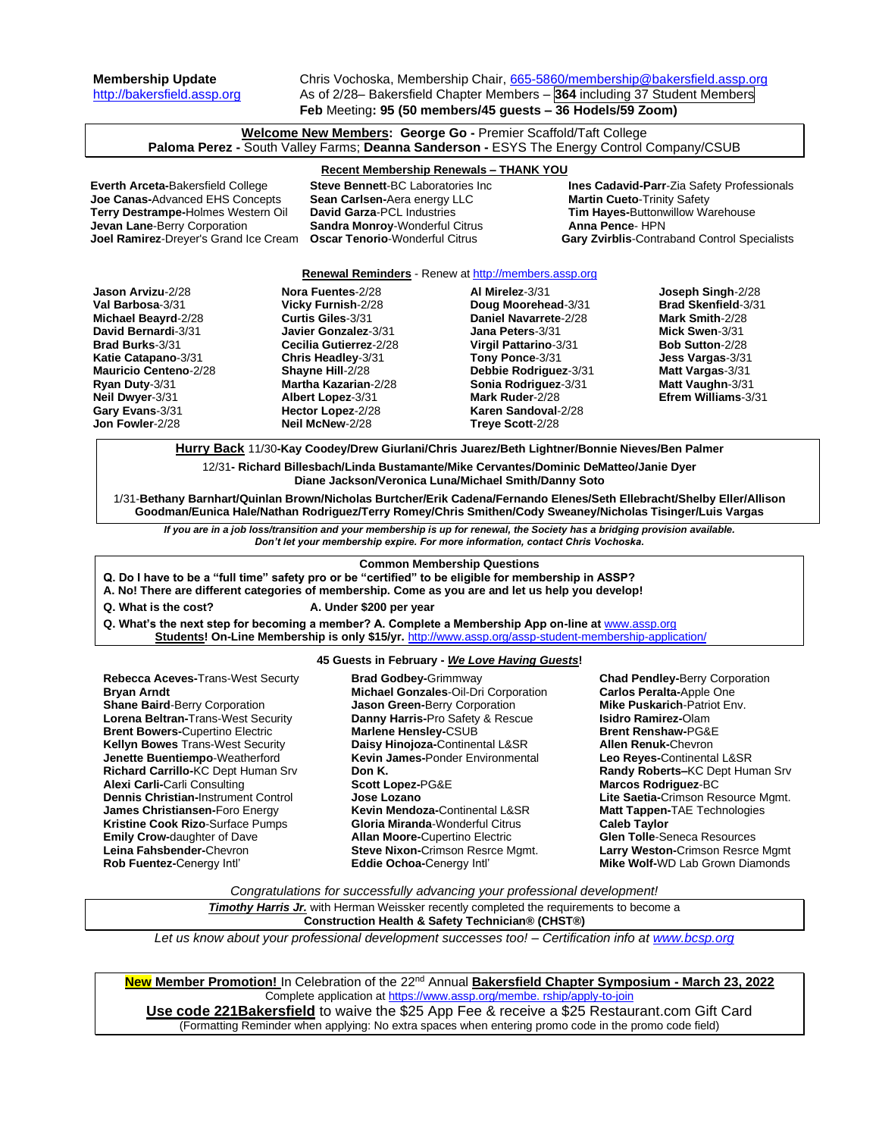**Membership Update** Chris Vochoska, Membership Chair, [665-5860/membership@bakersfield.assp.org](mailto:665-5860/membership@bakersfield.assp.org) [http://bakersfield.assp.org](http://bakersfield.assp.org/) As of 2/28– Bakersfield Chapter Members – **364** including 37 Student Members **Feb** Meeting**: 95 (50 members/45 guests – 36 Hodels/59 Zoom)**

**Welcome New Members: George Go -** Premier Scaffold/Taft College **Paloma Perez -** South Valley Farms; **Deanna Sanderson -** ESYS The Energy Control Company/CSUB

# **Recent Membership Renewals – THANK YOU**

**Joe Canas-**Advanced EHS Concepts **Sean Carlsen-**Aera energy LLC **Martin Cueto-**Trinity Safety<br> **Terry Destrampe-H**olmes Western Oil **David Garza-**PCL Industries **Tim Hayes-Buttonwillow Warehouse Terry Destrampe-Holmes Western Oil bavid Garza-PCL Industries <b>Tim Hayes-Buttony**<br> **Jevan Lane-Berry Corporation Sandra Monroy-**Wonderful Citrus **Anna Pence- HPN Jevan Lane-Berry Corporation <b>Sandra Monroy**-Wonderful Citrus

**Everth Arceta-**Bakersfield College **Steve Bennett**-BC Laboratories Inc **Ines Cadavid-Parr**-Zia Safety Professionals **Joel Ramirez**-Dreyer's Grand Ice Cream **Oscar Tenorio**-Wonderful Citrus **Gary Zvirblis**-Contraband Control Specialists

## **Renewal Reminders** - Renew a[t http://members.assp.org](http://members.assp.org/)

| Jason Arvizu-2/28            | Nora Fuentes-2/28           | Al Mirelez-3/31              | Joseph Singh-2/28          |
|------------------------------|-----------------------------|------------------------------|----------------------------|
| Val Barbosa-3/31             | Vicky Furnish-2/28          | Doug Moorehead-3/31          | <b>Brad Skenfield-3/31</b> |
| Michael Beayrd-2/28          | Curtis Giles-3/31           | Daniel Navarrete-2/28        | Mark Smith-2/28            |
| David Bernardi-3/31          | Javier Gonzalez-3/31        | Jana Peters-3/31             | Mick Swen-3/31             |
| <b>Brad Burks-3/31</b>       | Cecilia Gutierrez-2/28      | <b>Virgil Pattarino-3/31</b> | <b>Bob Sutton-2/28</b>     |
| <b>Katie Catapano-3/31</b>   | Chris Headley-3/31          | Tony Ponce-3/31              | Jess Vargas-3/31           |
| <b>Mauricio Centeno-2/28</b> | Shayne Hill-2/28            | Debbie Rodriguez-3/31        | Matt Vargas-3/31           |
| Ryan Duty-3/31               | <b>Martha Kazarian-2/28</b> | Sonia Rodriguez-3/31         | Matt Vaughn-3/31           |
| Neil Dwyer-3/31              | Albert Lopez-3/31           | Mark Ruder-2/28              | Efrem Williams-3/31        |
| Gary Evans-3/31              | Hector Lopez-2/28           | Karen Sandoval-2/28          |                            |
| Jon Fowler-2/28              | Neil McNew-2/28             | Treye Scott-2/28             |                            |

**Hurry Back** 11/30**-Kay Coodey/Drew Giurlani/Chris Juarez/Beth Lightner/Bonnie Nieves/Ben Palmer**

12/31**- Richard Billesbach/Linda Bustamante/Mike Cervantes/Dominic DeMatteo/Janie Dyer Diane Jackson/Veronica Luna/Michael Smith/Danny Soto**

1/31-**Bethany Barnhart/Quinlan Brown/Nicholas Burtcher/Erik Cadena/Fernando Elenes/Seth Ellebracht/Shelby Eller/Allison Goodman/Eunica Hale/Nathan Rodriguez/Terry Romey/Chris Smithen/Cody Sweaney/Nicholas Tisinger/Luis Vargas**

*If you are in a job loss/transition and your membership is up for renewal, the Society has a bridging provision available. Don't let your membership expire. For more information, contact Chris Vochoska.* 

## **Common Membership Questions**

**Q. Do I have to be a "full time" safety pro or be "certified" to be eligible for membership in ASSP?** 

**A. No! There are different categories of membership. Come as you are and let us help you develop!** 

**Q. What is the cost? A. Under \$200 per year**

Q. What's the next step for becoming a member? A. Complete a Membership App on-line at **[www.assp.org](http://www.assp.org/) Students! On-Line Membership is only \$15/yr.** <http://www.assp.org/assp-student-membership-application/>

## **45 Guests in February -** *We Love Having Guests***!**

**Rebecca Aceves-**Trans-West Securty **Bryan Arndt Shane Baird**-Berry Corporation **Lorena Beltran-**Trans-West Security **Brent Bowers-**Cupertino Electric **Kellyn Bowes** Trans-West Security **Jenette Buentiempo**-Weatherford **Richard Carrillo-**KC Dept Human Srv **Alexi Carli-**Carli Consulting **Dennis Christian-**Instrument Control **James Christiansen-**Foro Energy **Kristine Cook Rizo**-Surface Pumps **Emily Crow-**daughter of Dave **Leina Fahsbender-**Chevron **Rob Fuentez-**Cenergy Intl'

**Brad Godbey-**Grimmway **Michael Gonzales**-Oil-Dri Corporation **Jason Green-**Berry Corporation **Danny Harris-**Pro Safety & Rescue **Marlene Hensley-**CSUB **Daisy Hinojoza-**Continental L&SR **Kevin James-**Ponder Environmental **Don K. Scott Lopez-**PG&E **Jose Lozano Kevin Mendoza-**Continental L&SR **Gloria Miranda**-Wonderful Citrus **Allan Moore-**Cupertino Electric **Steve Nixon-**Crimson Resrce Mgmt. **Eddie Ochoa-**Cenergy Intl'

**Chad Pendley-**Berry Corporation **Carlos Peralta-**Apple One **Mike Puskarich**-Patriot Env. **Isidro Ramirez-**Olam **Brent Renshaw-**PG&E **Allen Renuk-**Chevron **Leo Reyes-**Continental L&SR **Randy Roberts–**KC Dept Human Srv **Marcos Rodriguez**-BC **Lite Saetia-**Crimson Resource Mgmt. **Matt Tappen-**TAE Technologies **Caleb Taylor Glen Tolle**-Seneca Resources **Larry Weston-**Crimson Resrce Mgmt **Mike Wolf-**WD Lab Grown Diamonds

*Congratulations for successfully advancing your professional development!*

**Timothy Harris Jr.** with Herman Weissker recently completed the requirements to become a **Construction Health & Safety Technician® (CHST®)**

*Let us know about your professional development successes too! – Certification info at [www.bcsp.org](http://www.bcsp.org/)*

**New Member Promotion!** In Celebration of the 22 nd Annual **Bakersfield Chapter Symposium - March 23, 2022** Complete application a[t https://www.assp.org/membe. rship/apply-to-join](https://www.assp.org/membe.%20rship/apply-to-join) **Use code 221Bakersfield** to waive the \$25 App Fee & receive a \$25 Restaurant.com Gift Card (Formatting Reminder when applying: No extra spaces when entering promo code in the promo code field)